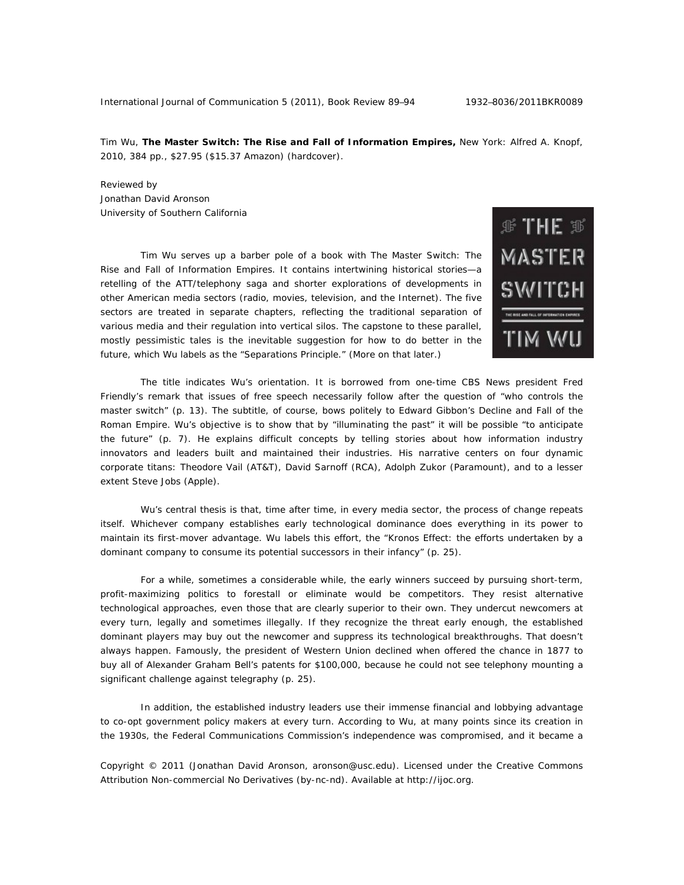Tim Wu, **The Master Switch: The Rise and Fall of Information Empires,** New York: Alfred A. Knopf, 2010, 384 pp., \$27.95 (\$15.37 Amazon) (hardcover).

Reviewed by Jonathan David Aronson University of Southern California

 Tim Wu serves up a barber pole of a book with *The Master Switch: The Rise and Fall of Information Empires*. It contains intertwining historical stories—a retelling of the ATT/telephony saga and shorter explorations of developments in other American media sectors (radio, movies, television, and the Internet). The five sectors are treated in separate chapters, reflecting the traditional separation of various media and their regulation into vertical silos. The capstone to these parallel, mostly pessimistic tales is the inevitable suggestion for how to do better in the future, which Wu labels as the "Separations Principle." (More on that later.)



 The title indicates Wu's orientation. It is borrowed from one-time CBS News president Fred Friendly's remark that issues of free speech necessarily follow after the question of "who controls the master switch" (p. 13). The subtitle, of course, bows politely to Edward Gibbon's *Decline and Fall of the Roman Empir*e. Wu's objective is to show that by "illuminating the past" it will be possible "to anticipate the future" (p. 7). He explains difficult concepts by telling stories about how information industry innovators and leaders built and maintained their industries. His narrative centers on four dynamic corporate titans: Theodore Vail (AT&T), David Sarnoff (RCA), Adolph Zukor (Paramount), and to a lesser extent Steve Jobs (Apple).

 Wu's central thesis is that, time after time, in every media sector, the process of change repeats itself. Whichever company establishes early technological dominance does everything in its power to maintain its first-mover advantage. Wu labels this effort, the "Kronos Effect: the efforts undertaken by a dominant company to consume its potential successors in their infancy" (p. 25).

 For a while, sometimes a considerable while, the early winners succeed by pursuing short-term, profit-maximizing politics to forestall or eliminate would be competitors. They resist alternative technological approaches, even those that are clearly superior to their own. They undercut newcomers at every turn, legally and sometimes illegally. If they recognize the threat early enough, the established dominant players may buy out the newcomer and suppress its technological breakthroughs. That doesn't always happen. Famously, the president of Western Union declined when offered the chance in 1877 to buy all of Alexander Graham Bell's patents for \$100,000, because he could not see telephony mounting a significant challenge against telegraphy (p. 25).

 In addition, the established industry leaders use their immense financial and lobbying advantage to co-opt government policy makers at every turn. According to Wu, at many points since its creation in the 1930s, the Federal Communications Commission's independence was compromised, and it became a

Copyright © 2011 (Jonathan David Aronson, aronson@usc.edu). Licensed under the Creative Commons Attribution Non-commercial No Derivatives (by-nc-nd). Available at http://ijoc.org.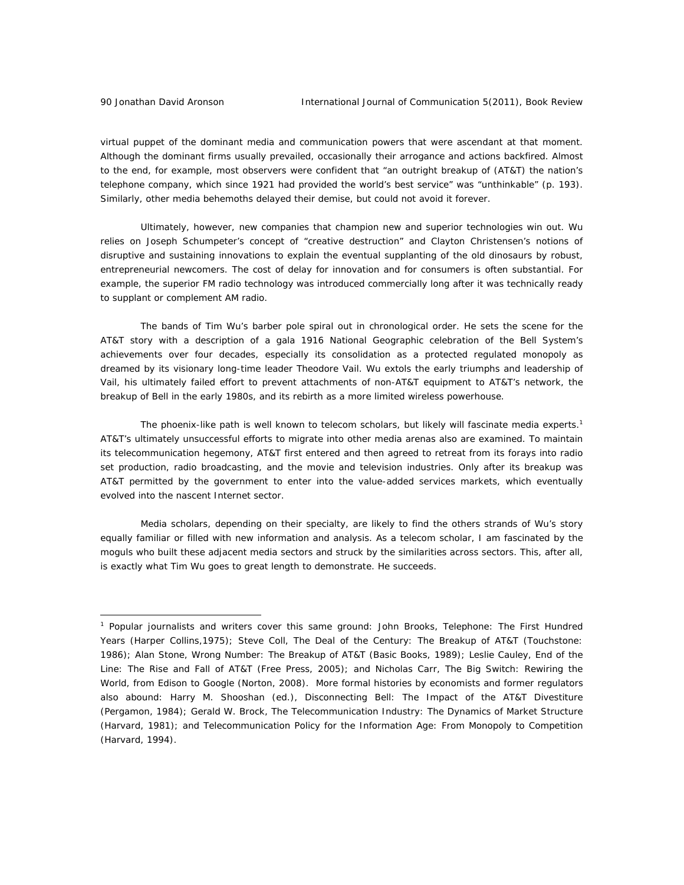$\overline{a}$ 

virtual puppet of the dominant media and communication powers that were ascendant at that moment. Although the dominant firms usually prevailed, occasionally their arrogance and actions backfired. Almost to the end, for example, most observers were confident that "an outright breakup of (AT&T) the nation's telephone company, which since 1921 had provided the world's best service" was "unthinkable" (p. 193). Similarly, other media behemoths delayed their demise, but could not avoid it forever.

 Ultimately, however, new companies that champion new and superior technologies win out. Wu relies on Joseph Schumpeter's concept of "creative destruction" and Clayton Christensen's notions of disruptive and sustaining innovations to explain the eventual supplanting of the old dinosaurs by robust, entrepreneurial newcomers. The cost of delay for innovation and for consumers is often substantial. For example, the superior FM radio technology was introduced commercially long after it was technically ready to supplant or complement AM radio.

 The bands of Tim Wu's barber pole spiral out in chronological order. He sets the scene for the AT&T story with a description of a gala 1916 National Geographic celebration of the Bell System's achievements over four decades, especially its consolidation as a protected regulated monopoly as dreamed by its visionary long-time leader Theodore Vail. Wu extols the early triumphs and leadership of Vail, his ultimately failed effort to prevent attachments of non-AT&T equipment to AT&T's network, the breakup of Bell in the early 1980s, and its rebirth as a more limited wireless powerhouse.

The phoenix-like path is well known to telecom scholars, but likely will fascinate media experts.<sup>1</sup> AT&T's ultimately unsuccessful efforts to migrate into other media arenas also are examined. To maintain its telecommunication hegemony, AT&T first entered and then agreed to retreat from its forays into radio set production, radio broadcasting, and the movie and television industries. Only after its breakup was AT&T permitted by the government to enter into the value-added services markets, which eventually evolved into the nascent Internet sector.

 Media scholars, depending on their specialty, are likely to find the others strands of Wu's story equally familiar or filled with new information and analysis. As a telecom scholar, I am fascinated by the moguls who built these adjacent media sectors and struck by the similarities across sectors. This, after all, is exactly what Tim Wu goes to great length to demonstrate. He succeeds.

<sup>1</sup> Popular journalists and writers cover this same ground: John Brooks, *Telephone: The First Hundred Years* (Harper Collins,1975); Steve Coll, *The Deal of the Century: The Breakup of AT&T* (Touchstone: 1986); Alan Stone, *Wrong Number: The Breakup of AT&T* (Basic Books, 1989); Leslie Cauley, *End of the Line: The Rise and Fall of AT&T* (Free Press, 2005); and Nicholas Carr, *The Big Switch: Rewiring the World, from Edison to Google* (Norton, 2008). More formal histories by economists and former regulators also abound: Harry M. Shooshan (ed.), *Disconnecting Bell: The Impact of the AT&T Divestiture* (Pergamon, 1984); Gerald W. Brock, *The Telecommunication Industry: The Dynamics of Market Structure* (Harvard, 1981); and *Telecommunication Policy for the Information Age: From Monopoly to Competition* (Harvard, 1994).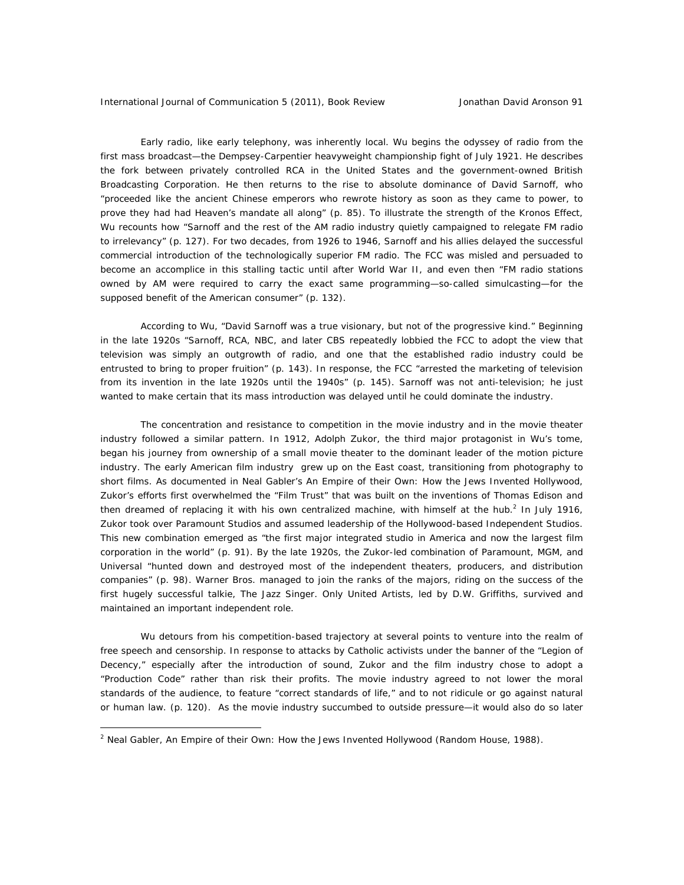Early radio, like early telephony, was inherently local. Wu begins the odyssey of radio from the first mass broadcast—the Dempsey-Carpentier heavyweight championship fight of July 1921. He describes the fork between privately controlled RCA in the United States and the government-owned British Broadcasting Corporation. He then returns to the rise to absolute dominance of David Sarnoff, who "proceeded like the ancient Chinese emperors who rewrote history as soon as they came to power, to prove they had had Heaven's mandate all along" (p. 85). To illustrate the strength of the Kronos Effect, Wu recounts how "Sarnoff and the rest of the AM radio industry quietly campaigned to relegate FM radio to irrelevancy" (p. 127). For two decades, from 1926 to 1946, Sarnoff and his allies delayed the successful commercial introduction of the technologically superior FM radio. The FCC was misled and persuaded to become an accomplice in this stalling tactic until after World War II, and even then "FM radio stations owned by AM were required to carry the exact same programming—so-called simulcasting—for the supposed benefit of the American consumer" (p. 132).

 According to Wu, "David Sarnoff was a true visionary, but not of the progressive kind." Beginning in the late 1920s "Sarnoff, RCA, NBC, and later CBS repeatedly lobbied the FCC to adopt the view that television was simply an outgrowth of radio, and one that the established radio industry could be entrusted to bring to proper fruition" (p. 143). In response, the FCC "arrested the marketing of television from its invention in the late 1920s until the 1940s" (p. 145). Sarnoff was not anti-television; he just wanted to make certain that its mass introduction was delayed until he could dominate the industry.

 The concentration and resistance to competition in the movie industry and in the movie theater industry followed a similar pattern. In 1912, Adolph Zukor, the third major protagonist in Wu's tome, began his journey from ownership of a small movie theater to the dominant leader of the motion picture industry. The early American film industry grew up on the East coast, transitioning from photography to short films. As documented in Neal Gabler's *An Empire of their Own: How the Jews Invented Hollywood*, Zukor's efforts first overwhelmed the "Film Trust" that was built on the inventions of Thomas Edison and then dreamed of replacing it with his own centralized machine, with himself at the hub.<sup>2</sup> In July 1916, Zukor took over Paramount Studios and assumed leadership of the Hollywood-based Independent Studios. This new combination emerged as "the first major integrated studio in America and now the largest film corporation in the world" (p. 91). By the late 1920s, the Zukor-led combination of Paramount, MGM, and Universal "hunted down and destroyed most of the independent theaters, producers, and distribution companies" (p. 98). Warner Bros. managed to join the ranks of the majors, riding on the success of the first hugely successful talkie, *The Jazz Singer*. Only United Artists, led by D.W. Griffiths, survived and maintained an important independent role.

 Wu detours from his competition-based trajectory at several points to venture into the realm of free speech and censorship. In response to attacks by Catholic activists under the banner of the "Legion of Decency," especially after the introduction of sound, Zukor and the film industry chose to adopt a "Production Code" rather than risk their profits. The movie industry agreed to not lower the moral standards of the audience, to feature "correct standards of life," and to not ridicule or go against natural or human law. (p. 120). As the movie industry succumbed to outside pressure—it would also do so later

 $\overline{a}$ 

<sup>2</sup> Neal Gabler, *An Empire of their Own: How the Jews Invented Hollywood (Random House, 1988)*.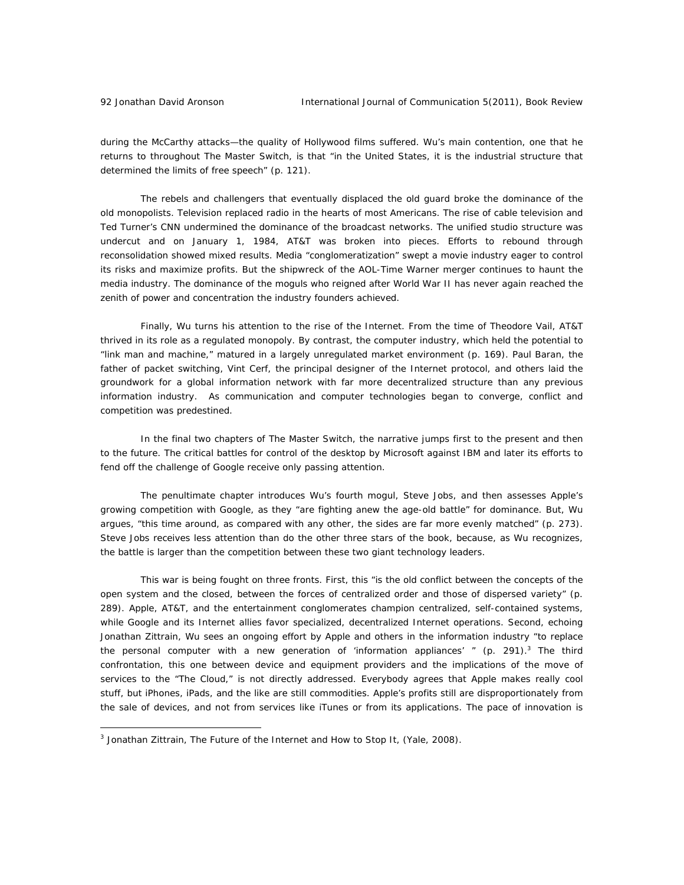during the McCarthy attacks—the quality of Hollywood films suffered. Wu's main contention, one that he returns to throughout *The Master Switch*, is that "in the United States, it is the industrial structure that determined the limits of free speech" (p. 121).

The rebels and challengers that eventually displaced the old guard broke the dominance of the old monopolists. Television replaced radio in the hearts of most Americans. The rise of cable television and Ted Turner's CNN undermined the dominance of the broadcast networks. The unified studio structure was undercut and on January 1, 1984, AT&T was broken into pieces. Efforts to rebound through reconsolidation showed mixed results. Media "conglomeratization" swept a movie industry eager to control its risks and maximize profits. But the shipwreck of the AOL-Time Warner merger continues to haunt the media industry. The dominance of the moguls who reigned after World War II has never again reached the zenith of power and concentration the industry founders achieved.

 Finally, Wu turns his attention to the rise of the Internet. From the time of Theodore Vail, AT&T thrived in its role as a regulated monopoly. By contrast, the computer industry, which held the potential to "link man and machine," matured in a largely unregulated market environment (p. 169). Paul Baran, the father of packet switching, Vint Cerf, the principal designer of the Internet protocol, and others laid the groundwork for a global information network with far more decentralized structure than any previous information industry. As communication and computer technologies began to converge, conflict and competition was predestined.

 In the final two chapters of *The Master Switch*, the narrative jumps first to the present and then to the future. The critical battles for control of the desktop by Microsoft against IBM and later its efforts to fend off the challenge of Google receive only passing attention.

 The penultimate chapter introduces Wu's fourth mogul, Steve Jobs, and then assesses Apple's growing competition with Google, as they "are fighting anew the age-old battle" for dominance. But, Wu argues, "this time around, as compared with any other, the sides are far more evenly matched" (p. 273). Steve Jobs receives less attention than do the other three stars of the book, because, as Wu recognizes, the battle is larger than the competition between these two giant technology leaders.

 This war is being fought on three fronts. First, this "is the old conflict between the concepts of the open system and the closed, between the forces of centralized order and those of dispersed variety" (p. 289). Apple, AT&T, and the entertainment conglomerates champion centralized, self-contained systems, while Google and its Internet allies favor specialized, decentralized Internet operations. Second, echoing Jonathan Zittrain, Wu sees an ongoing effort by Apple and others in the information industry "to replace the personal computer with a new generation of 'information appliances'  $\degree$  (p. 291).<sup>3</sup> The third confrontation, this one between device and equipment providers and the implications of the move of services to the "The Cloud," is not directly addressed. Everybody agrees that Apple makes really cool stuff, but iPhones, iPads, and the like are still commodities. Apple's profits still are disproportionately from the sale of devices, and not from services like iTunes or from its applications. The pace of innovation is

 $\overline{a}$ 

<sup>3</sup> Jonathan Zittrain, *The Future of the Internet and How to Stop It*, (Yale, 2008).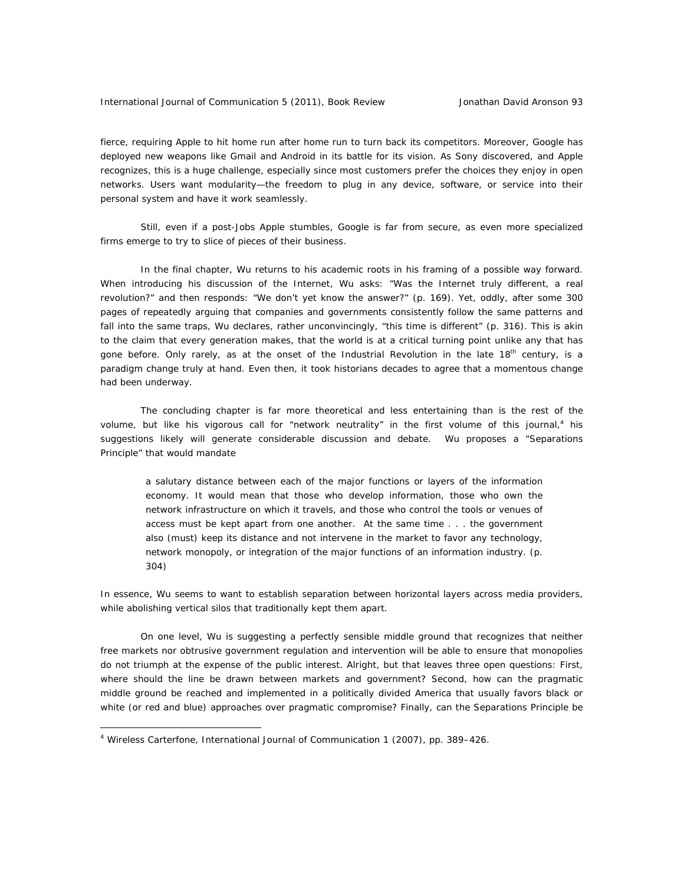fierce, requiring Apple to hit home run after home run to turn back its competitors. Moreover, Google has deployed new weapons like Gmail and Android in its battle for its vision. As Sony discovered, and Apple recognizes, this is a huge challenge, especially since most customers prefer the choices they enjoy in open networks. Users want modularity—the freedom to plug in any device, software, or service into their personal system and have it work seamlessly.

 Still, even if a post-Jobs Apple stumbles, Google is far from secure, as even more specialized firms emerge to try to slice of pieces of their business.

 In the final chapter, Wu returns to his academic roots in his framing of a possible way forward. When introducing his discussion of the Internet, Wu asks: "Was the Internet truly different, a real revolution?" and then responds: "We don't yet know the answer?" (p. 169). Yet, oddly, after some 300 pages of repeatedly arguing that companies and governments consistently follow the same patterns and fall into the same traps, Wu declares, rather unconvincingly, "this time is different" (p. 316). This is akin to the claim that every generation makes, that the world is at a critical turning point unlike any that has gone before. Only rarely, as at the onset of the Industrial Revolution in the late  $18<sup>th</sup>$  century, is a paradigm change truly at hand. Even then, it took historians decades to agree that a momentous change had been underway.

 The concluding chapter is far more theoretical and less entertaining than is the rest of the volume, but like his vigorous call for "network neutrality" in the first volume of this journal,<sup>4</sup> his suggestions likely will generate considerable discussion and debate. Wu proposes a "Separations Principle" that would mandate

 a salutary distance between each of the major functions or layers of the information economy. It would mean that those who develop information, those who own the network infrastructure on which it travels, and those who control the tools or venues of access must be kept apart from one another. At the same time . . . the government also (must) keep its distance and not intervene in the market to favor any technology, network monopoly, or integration of the major functions of an information industry. (p. 304)

 In essence, Wu seems to want to establish separation between horizontal layers across media providers, while abolishing vertical silos that traditionally kept them apart.

 On one level, Wu is suggesting a perfectly sensible middle ground that recognizes that neither free markets nor obtrusive government regulation and intervention will be able to ensure that monopolies do not triumph at the expense of the public interest. Alright, but that leaves three open questions: First, where should the line be drawn between markets and government? Second, how can the pragmatic middle ground be reached and implemented in a politically divided America that usually favors black or white (or red and blue) approaches over pragmatic compromise? Finally, can the Separations Principle be

 $\overline{a}$ 

<sup>4</sup> Wireless Carterfone, *International Journal of Communication 1* (2007), pp. 389–426.